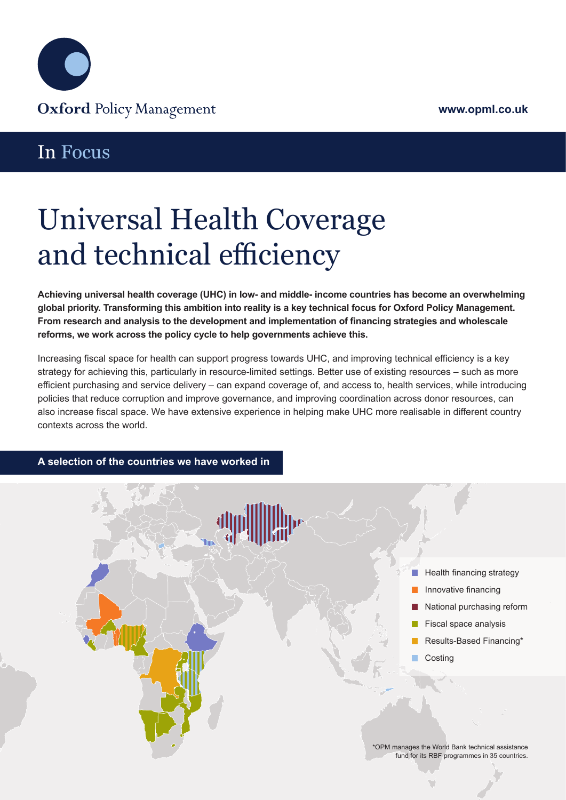

## In Focus

# Universal Health Coverage and technical efficiency

**Achieving universal health coverage (UHC) in low- and middle- income countries has become an overwhelming global priority. Transforming this ambition into reality is a key technical focus for Oxford Policy Management. From research and analysis to the development and implementation of financing strategies and wholescale reforms, we work across the policy cycle to help governments achieve this.** 

Increasing fiscal space for health can support progress towards UHC, and improving technical efficiency is a key strategy for achieving this, particularly in resource-limited settings. Better use of existing resources – such as more efficient purchasing and service delivery – can expand coverage of, and access to, health services, while introducing policies that reduce corruption and improve governance, and improving coordination across donor resources, can also increase fiscal space. We have extensive experience in helping make UHC more realisable in different country contexts across the world.

#### **A selection of the countries we have worked in**